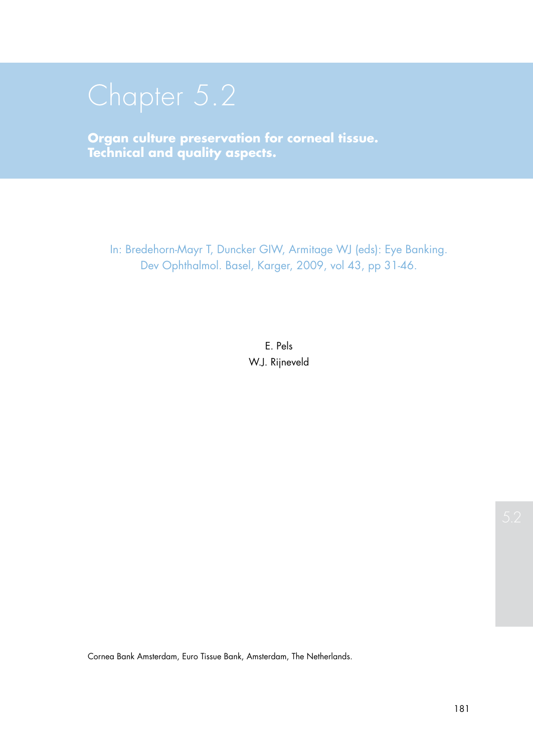**Organ culture preservation for corneal tissue. Technical and quality aspects.**

In: Bredehorn-Mayr T, Duncker GIW, Armitage WJ (eds): Eye Banking. Dev Ophthalmol. Basel, Karger, 2009, vol 43, pp 31-46.

> E. Pels W.J. Rijneveld

Cornea Bank Amsterdam, Euro Tissue Bank, Amsterdam, The Netherlands.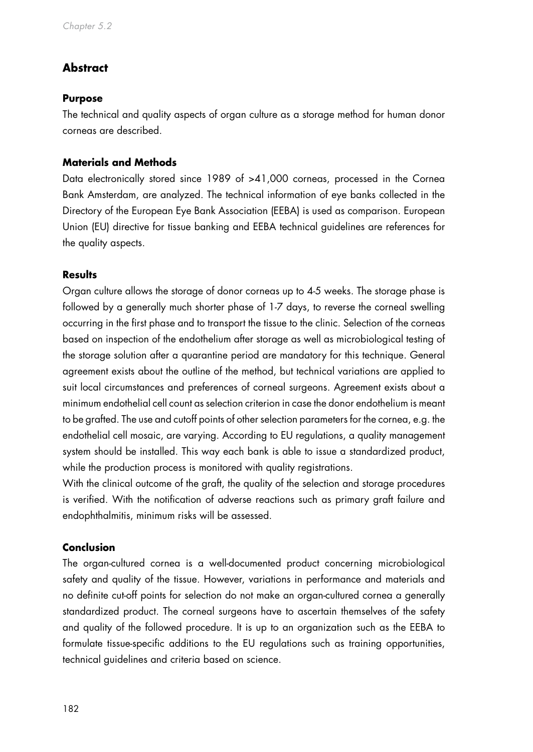# **Abstract**

## **Purpose**

The technical and quality aspects of organ culture as a storage method for human donor corneas are described.

## **Materials and Methods**

Data electronically stored since 1989 of >41,000 corneas, processed in the Cornea Bank Amsterdam, are analyzed. The technical information of eye banks collected in the Directory of the European Eye Bank Association (EEBA) is used as comparison. European Union (EU) directive for tissue banking and EEBA technical guidelines are references for the quality aspects.

## **Results**

Organ culture allows the storage of donor corneas up to 4-5 weeks. The storage phase is followed by a generally much shorter phase of 1-7 days, to reverse the corneal swelling occurring in the first phase and to transport the tissue to the clinic. Selection of the corneas based on inspection of the endothelium after storage as well as microbiological testing of the storage solution after a quarantine period are mandatory for this technique. General agreement exists about the outline of the method, but technical variations are applied to suit local circumstances and preferences of corneal surgeons. Agreement exists about a minimum endothelial cell count as selection criterion in case the donor endothelium is meant to be grafted. The use and cutoff points of other selection parameters for the cornea, e.g. the endothelial cell mosaic, are varying. According to EU regulations, a quality management system should be installed. This way each bank is able to issue a standardized product, while the production process is monitored with quality registrations.

With the clinical outcome of the graft, the quality of the selection and storage procedures is verified. With the notification of adverse reactions such as primary graft failure and endophthalmitis, minimum risks will be assessed.

## **Conclusion**

The organ-cultured cornea is a well-documented product concerning microbiological safety and quality of the tissue. However, variations in performance and materials and no definite cut-off points for selection do not make an organ-cultured cornea a generally standardized product. The corneal surgeons have to ascertain themselves of the safety and quality of the followed procedure. It is up to an organization such as the EEBA to formulate tissue-specific additions to the EU regulations such as training opportunities, technical guidelines and criteria based on science.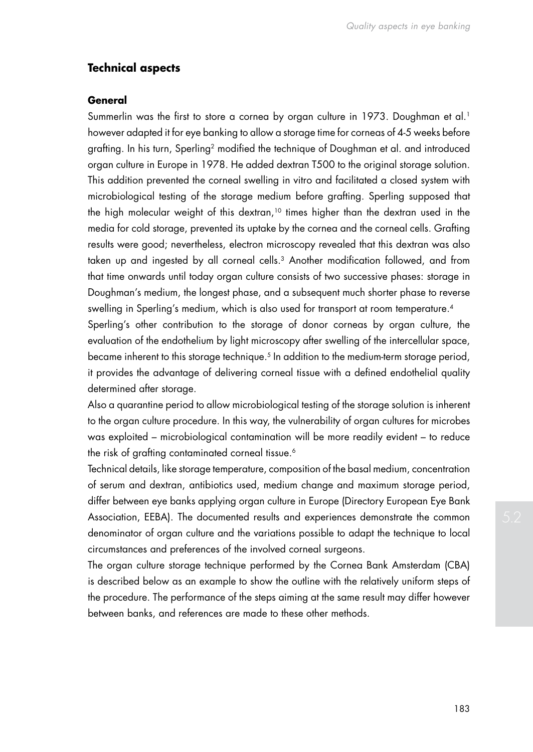# **Technical aspects**

## **General**

Summerlin was the first to store a cornea by organ culture in 1973. Doughman et al.<sup>1</sup> however adapted it for eye banking to allow a storage time for corneas of 4-5 weeks before grafting. In his turn, Sperling2 modified the technique of Doughman et al. and introduced organ culture in Europe in 1978. He added dextran T500 to the original storage solution. This addition prevented the corneal swelling in vitro and facilitated a closed system with microbiological testing of the storage medium before grafting. Sperling supposed that the high molecular weight of this dextran,<sup>10</sup> times higher than the dextran used in the media for cold storage, prevented its uptake by the cornea and the corneal cells. Grafting results were good; nevertheless, electron microscopy revealed that this dextran was also taken up and ingested by all corneal cells.3 Another modification followed, and from that time onwards until today organ culture consists of two successive phases: storage in Doughman's medium, the longest phase, and a subsequent much shorter phase to reverse swelling in Sperling's medium, which is also used for transport at room temperature.<sup>4</sup>

Sperling's other contribution to the storage of donor corneas by organ culture, the evaluation of the endothelium by light microscopy after swelling of the intercellular space, became inherent to this storage technique.<sup>5</sup> In addition to the medium-term storage period, it provides the advantage of delivering corneal tissue with a defined endothelial quality determined after storage.

Also a quarantine period to allow microbiological testing of the storage solution is inherent to the organ culture procedure. In this way, the vulnerability of organ cultures for microbes was exploited – microbiological contamination will be more readily evident – to reduce the risk of grafting contaminated corneal tissue.<sup>6</sup>

Technical details, like storage temperature, composition of the basal medium, concentration of serum and dextran, antibiotics used, medium change and maximum storage period, differ between eye banks applying organ culture in Europe (Directory European Eye Bank Association, EEBA). The documented results and experiences demonstrate the common denominator of organ culture and the variations possible to adapt the technique to local circumstances and preferences of the involved corneal surgeons.

The organ culture storage technique performed by the Cornea Bank Amsterdam (CBA) is described below as an example to show the outline with the relatively uniform steps of the procedure. The performance of the steps aiming at the same result may differ however between banks, and references are made to these other methods.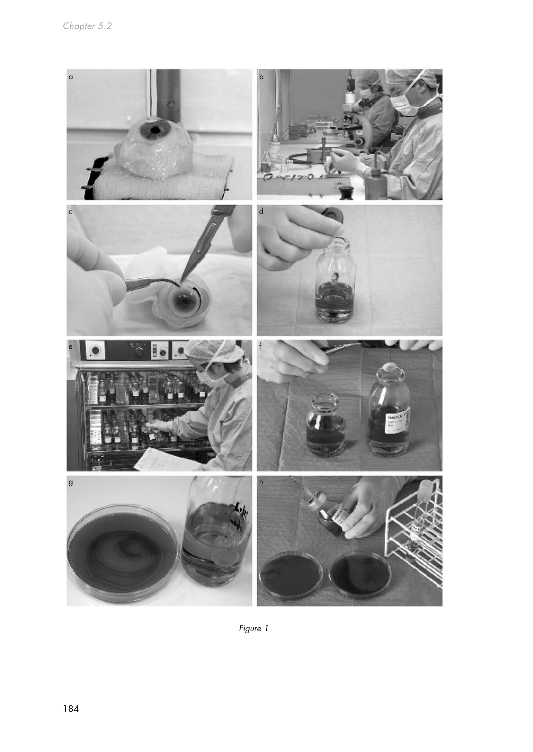

*Figure 1*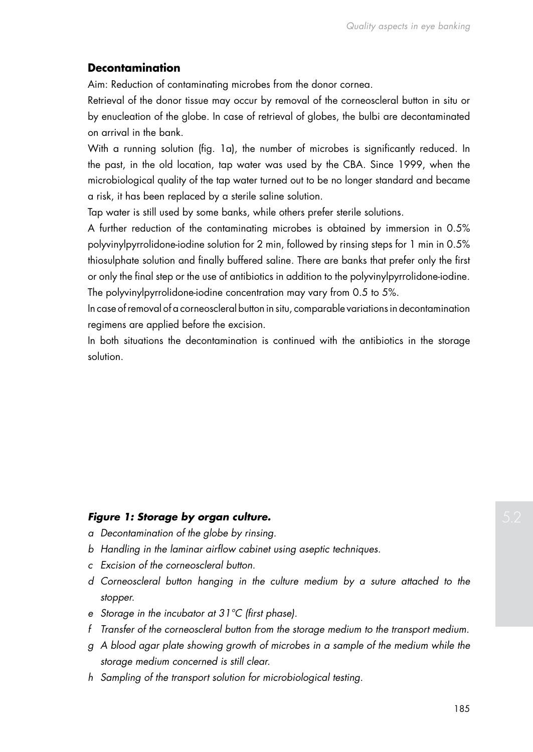# **Decontamination**

Aim: Reduction of contaminating microbes from the donor cornea.

Retrieval of the donor tissue may occur by removal of the corneoscleral button in situ or by enucleation of the globe. In case of retrieval of globes, the bulbi are decontaminated on arrival in the bank.

With a running solution (fig. 1a), the number of microbes is significantly reduced. In the past, in the old location, tap water was used by the CBA. Since 1999, when the microbiological quality of the tap water turned out to be no longer standard and became a risk, it has been replaced by a sterile saline solution.

Tap water is still used by some banks, while others prefer sterile solutions.

A further reduction of the contaminating microbes is obtained by immersion in 0.5% polyvinylpyrrolidone-iodine solution for 2 min, followed by rinsing steps for 1 min in 0.5% thiosulphate solution and finally buffered saline. There are banks that prefer only the first or only the final step or the use of antibiotics in addition to the polyvinylpyrrolidone-iodine. The polyvinylpyrrolidone-iodine concentration may vary from 0.5 to 5%.

In case of removal of a corneoscleral button in situ, comparable variations in decontamination regimens are applied before the excision.

In both situations the decontamination is continued with the antibiotics in the storage solution.

# *Figure 1: Storage by organ culture.*

- *a Decontamination of the globe by rinsing.*
- *b Handling in the laminar airflow cabinet using aseptic techniques.*
- *c Excision of the corneoscleral button.*
- *d Corneoscleral button hanging in the culture medium by a suture attached to the stopper.*
- *e Storage in the incubator at 31°C (first phase).*
- *f Transfer of the corneoscleral button from the storage medium to the transport medium.*
- *g A blood agar plate showing growth of microbes in a sample of the medium while the storage medium concerned is still clear.*
- *h Sampling of the transport solution for microbiological testing.*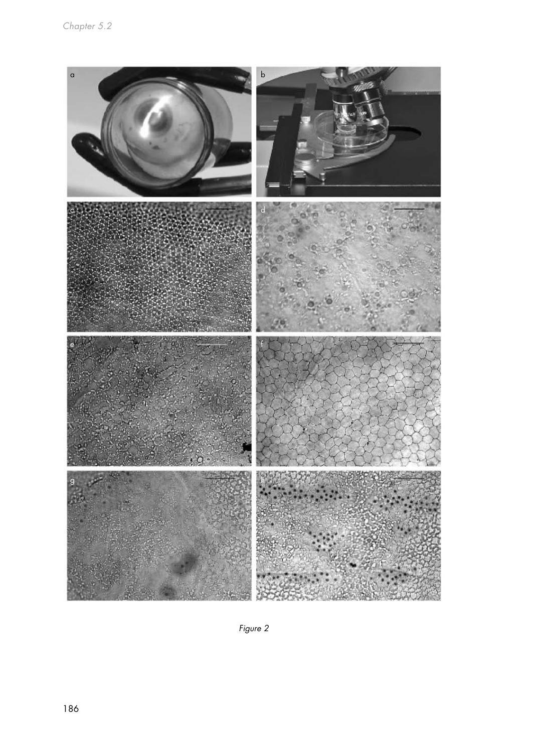

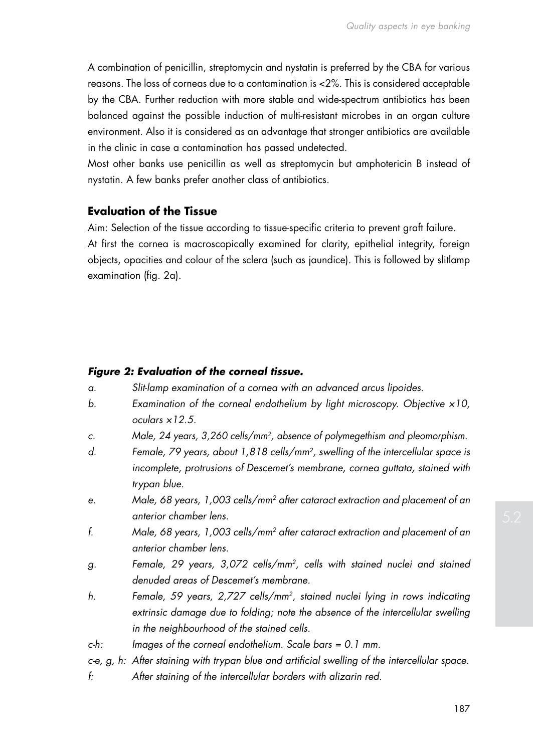A combination of penicillin, streptomycin and nystatin is preferred by the CBA for various reasons. The loss of corneas due to a contamination is <2%. This is considered acceptable by the CBA. Further reduction with more stable and wide-spectrum antibiotics has been balanced against the possible induction of multi-resistant microbes in an organ culture environment. Also it is considered as an advantage that stronger antibiotics are available in the clinic in case a contamination has passed undetected.

Most other banks use penicillin as well as streptomycin but amphotericin B instead of nystatin. A few banks prefer another class of antibiotics.

# **Evaluation of the Tissue**

Aim: Selection of the tissue according to tissue-specific criteria to prevent graft failure. At first the cornea is macroscopically examined for clarity, epithelial integrity, foreign objects, opacities and colour of the sclera (such as jaundice). This is followed by slitlamp examination (fig. 2a).

# *Figure 2: Evaluation of the corneal tissue.*

- *a. Slit-lamp examination of a cornea with an advanced arcus lipoides.*
- *b. Examination of the corneal endothelium by light microscopy. Objective ×10, oculars ×12.5.*
- *c. Male, 24 years, 3,260 cells/mm2, absence of polymegethism and pleomorphism.*
- *d. Female, 79 years, about 1,818 cells/mm2, swelling of the intercellular space is incomplete, protrusions of Descemet's membrane, cornea guttata, stained with trypan blue.*
- *e. Male, 68 years, 1,003 cells/mm2 after cataract extraction and placement of an anterior chamber lens.*
- *f. Male, 68 years, 1,003 cells/mm2 after cataract extraction and placement of an anterior chamber lens.*
- *g. Female, 29 years, 3,072 cells/mm2, cells with stained nuclei and stained denuded areas of Descemet's membrane.*
- *h. Female, 59 years, 2,727 cells/mm2, stained nuclei lying in rows indicating*  extrinsic damage due to folding; note the absence of the intercellular swelling *in the neighbourhood of the stained cells.*
- *c-h: Images of the corneal endothelium. Scale bars = 0.1 mm.*
- *c-e, g, h: After staining with trypan blue and artificial swelling of the intercellular space. f: After staining of the intercellular borders with alizarin red.*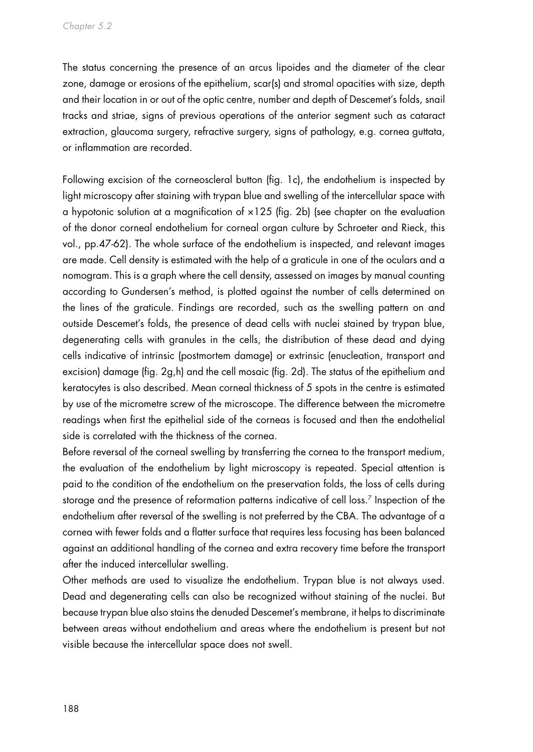The status concerning the presence of an arcus lipoides and the diameter of the clear zone, damage or erosions of the epithelium, scar(s) and stromal opacities with size, depth and their location in or out of the optic centre, number and depth of Descemet's folds, snail tracks and striae, signs of previous operations of the anterior segment such as cataract extraction, glaucoma surgery, refractive surgery, signs of pathology, e.g. cornea guttata, or inflammation are recorded.

Following excision of the corneoscleral button (fig. 1c), the endothelium is inspected by light microscopy after staining with trypan blue and swelling of the intercellular space with a hypotonic solution at a magnification of ×125 (fig. 2b) (see chapter on the evaluation of the donor corneal endothelium for corneal organ culture by Schroeter and Rieck, this vol., pp.47-62). The whole surface of the endothelium is inspected, and relevant images are made. Cell density is estimated with the help of a graticule in one of the oculars and a nomogram. This is a graph where the cell density, assessed on images by manual counting according to Gundersen's method, is plotted against the number of cells determined on the lines of the graticule. Findings are recorded, such as the swelling pattern on and outside Descemet's folds, the presence of dead cells with nuclei stained by trypan blue, degenerating cells with granules in the cells, the distribution of these dead and dying cells indicative of intrinsic (postmortem damage) or extrinsic (enucleation, transport and excision) damage (fig. 2g,h) and the cell mosaic (fig. 2d). The status of the epithelium and keratocytes is also described. Mean corneal thickness of 5 spots in the centre is estimated by use of the micrometre screw of the microscope. The difference between the micrometre readings when first the epithelial side of the corneas is focused and then the endothelial side is correlated with the thickness of the cornea.

Before reversal of the corneal swelling by transferring the cornea to the transport medium, the evaluation of the endothelium by light microscopy is repeated. Special attention is paid to the condition of the endothelium on the preservation folds, the loss of cells during storage and the presence of reformation patterns indicative of cell loss.<sup>7</sup> Inspection of the endothelium after reversal of the swelling is not preferred by the CBA. The advantage of a cornea with fewer folds and a flatter surface that requires less focusing has been balanced against an additional handling of the cornea and extra recovery time before the transport after the induced intercellular swelling.

Other methods are used to visualize the endothelium. Trypan blue is not always used. Dead and degenerating cells can also be recognized without staining of the nuclei. But because trypan blue also stains the denuded Descemet's membrane, it helps to discriminate between areas without endothelium and areas where the endothelium is present but not visible because the intercellular space does not swell.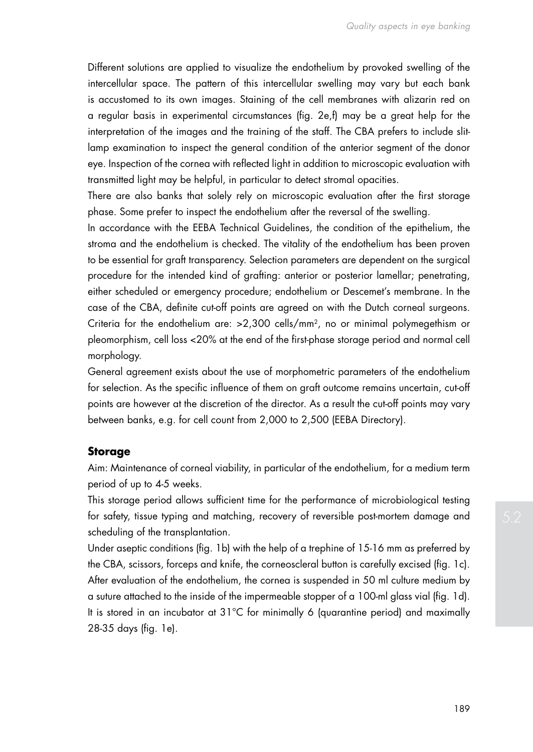Different solutions are applied to visualize the endothelium by provoked swelling of the intercellular space. The pattern of this intercellular swelling may vary but each bank is accustomed to its own images. Staining of the cell membranes with alizarin red on a regular basis in experimental circumstances (fig. 2e,f) may be a great help for the interpretation of the images and the training of the staff. The CBA prefers to include slitlamp examination to inspect the general condition of the anterior segment of the donor eye. Inspection of the cornea with reflected light in addition to microscopic evaluation with transmitted light may be helpful, in particular to detect stromal opacities.

There are also banks that solely rely on microscopic evaluation after the first storage phase. Some prefer to inspect the endothelium after the reversal of the swelling.

In accordance with the EEBA Technical Guidelines, the condition of the epithelium, the stroma and the endothelium is checked. The vitality of the endothelium has been proven to be essential for graft transparency. Selection parameters are dependent on the surgical procedure for the intended kind of grafting: anterior or posterior lamellar; penetrating, either scheduled or emergency procedure; endothelium or Descemet's membrane. In the case of the CBA, definite cut-off points are agreed on with the Dutch corneal surgeons. Criteria for the endothelium are: >2,300 cells/mm2, no or minimal polymegethism or pleomorphism, cell loss <20% at the end of the first-phase storage period and normal cell morphology.

General agreement exists about the use of morphometric parameters of the endothelium for selection. As the specific influence of them on graft outcome remains uncertain, cut-off points are however at the discretion of the director. As a result the cut-off points may vary between banks, e.g. for cell count from 2,000 to 2,500 (EEBA Directory).

#### **Storage**

Aim: Maintenance of corneal viability, in particular of the endothelium, for a medium term period of up to 4-5 weeks.

This storage period allows sufficient time for the performance of microbiological testing for safety, tissue typing and matching, recovery of reversible post-mortem damage and scheduling of the transplantation.

Under aseptic conditions (fig. 1b) with the help of a trephine of 15-16 mm as preferred by the CBA, scissors, forceps and knife, the corneoscleral button is carefully excised (fig. 1c). After evaluation of the endothelium, the cornea is suspended in 50 ml culture medium by a suture attached to the inside of the impermeable stopper of a 100-ml glass vial (fig. 1d). It is stored in an incubator at 31°C for minimally 6 (quarantine period) and maximally 28-35 days (fig. 1e).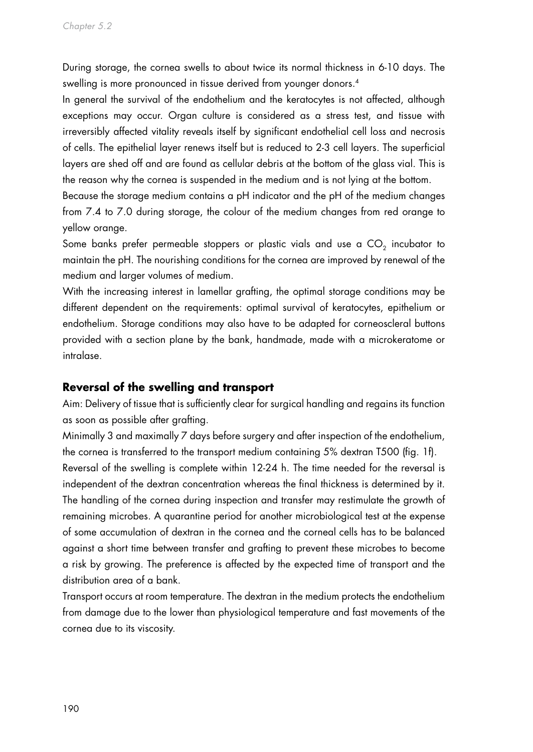During storage, the cornea swells to about twice its normal thickness in 6-10 days. The swelling is more pronounced in tissue derived from younger donors.4

In general the survival of the endothelium and the keratocytes is not affected, although exceptions may occur. Organ culture is considered as a stress test, and tissue with irreversibly affected vitality reveals itself by significant endothelial cell loss and necrosis of cells. The epithelial layer renews itself but is reduced to 2-3 cell layers. The superficial layers are shed off and are found as cellular debris at the bottom of the glass vial. This is the reason why the cornea is suspended in the medium and is not lying at the bottom.

Because the storage medium contains a pH indicator and the pH of the medium changes from 7.4 to 7.0 during storage, the colour of the medium changes from red orange to yellow orange.

Some banks prefer permeable stoppers or plastic vials and use a  $CO<sub>2</sub>$  incubator to maintain the pH. The nourishing conditions for the cornea are improved by renewal of the medium and larger volumes of medium.

With the increasing interest in lamellar grafting, the optimal storage conditions may be different dependent on the requirements: optimal survival of keratocytes, epithelium or endothelium. Storage conditions may also have to be adapted for corneoscleral buttons provided with a section plane by the bank, handmade, made with a microkeratome or intralase.

# **Reversal of the swelling and transport**

Aim: Delivery of tissue that is sufficiently clear for surgical handling and regains its function as soon as possible after grafting.

Minimally 3 and maximally 7 days before surgery and after inspection of the endothelium, the cornea is transferred to the transport medium containing 5% dextran T500 (fig. 1f). Reversal of the swelling is complete within 12-24 h. The time needed for the reversal is independent of the dextran concentration whereas the final thickness is determined by it. The handling of the cornea during inspection and transfer may restimulate the growth of remaining microbes. A quarantine period for another microbiological test at the expense of some accumulation of dextran in the cornea and the corneal cells has to be balanced against a short time between transfer and grafting to prevent these microbes to become a risk by growing. The preference is affected by the expected time of transport and the distribution area of a bank.

Transport occurs at room temperature. The dextran in the medium protects the endothelium from damage due to the lower than physiological temperature and fast movements of the cornea due to its viscosity.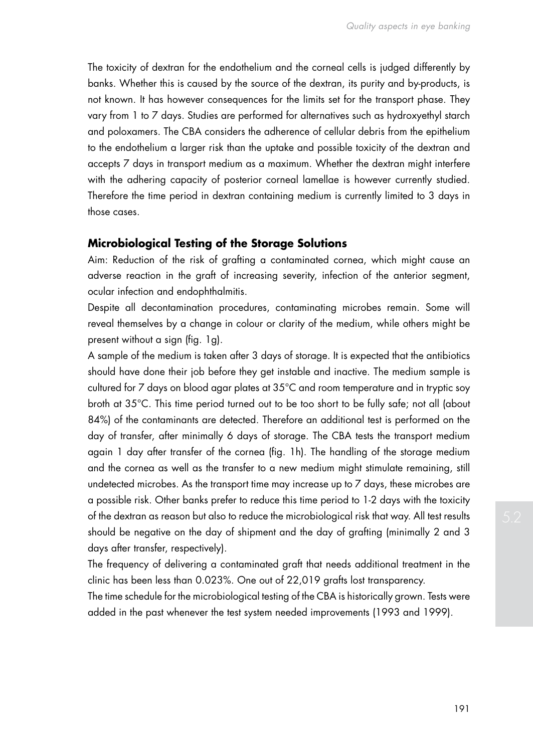The toxicity of dextran for the endothelium and the corneal cells is judged differently by banks. Whether this is caused by the source of the dextran, its purity and by-products, is not known. It has however consequences for the limits set for the transport phase. They vary from 1 to 7 days. Studies are performed for alternatives such as hydroxyethyl starch and poloxamers. The CBA considers the adherence of cellular debris from the epithelium to the endothelium a larger risk than the uptake and possible toxicity of the dextran and accepts 7 days in transport medium as a maximum. Whether the dextran might interfere with the adhering capacity of posterior corneal lamellae is however currently studied. Therefore the time period in dextran containing medium is currently limited to 3 days in those cases.

## **Microbiological Testing of the Storage Solutions**

Aim: Reduction of the risk of grafting a contaminated cornea, which might cause an adverse reaction in the graft of increasing severity, infection of the anterior segment, ocular infection and endophthalmitis.

Despite all decontamination procedures, contaminating microbes remain. Some will reveal themselves by a change in colour or clarity of the medium, while others might be present without a sign (fig. 1g).

A sample of the medium is taken after 3 days of storage. It is expected that the antibiotics should have done their job before they get instable and inactive. The medium sample is cultured for 7 days on blood agar plates at 35°C and room temperature and in tryptic soy broth at 35°C. This time period turned out to be too short to be fully safe; not all (about 84%) of the contaminants are detected. Therefore an additional test is performed on the day of transfer, after minimally 6 days of storage. The CBA tests the transport medium again 1 day after transfer of the cornea (fig. 1h). The handling of the storage medium and the cornea as well as the transfer to a new medium might stimulate remaining, still undetected microbes. As the transport time may increase up to 7 days, these microbes are a possible risk. Other banks prefer to reduce this time period to 1-2 days with the toxicity of the dextran as reason but also to reduce the microbiological risk that way. All test results should be negative on the day of shipment and the day of grafting (minimally 2 and 3 days after transfer, respectively).

The frequency of delivering a contaminated graft that needs additional treatment in the clinic has been less than 0.023%. One out of 22,019 grafts lost transparency.

The time schedule for the microbiological testing of the CBA is historically grown. Tests were added in the past whenever the test system needed improvements (1993 and 1999).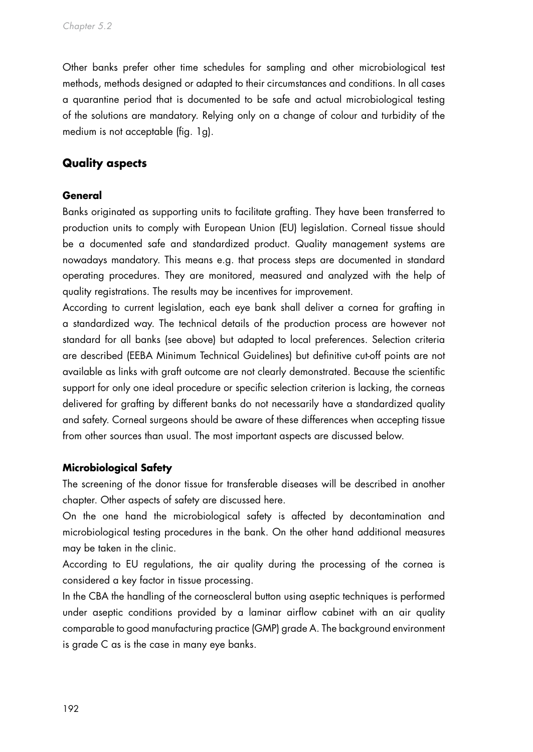Other banks prefer other time schedules for sampling and other microbiological test methods, methods designed or adapted to their circumstances and conditions. In all cases a quarantine period that is documented to be safe and actual microbiological testing of the solutions are mandatory. Relying only on a change of colour and turbidity of the medium is not acceptable (fig. 1g).

# **Quality aspects**

# **General**

Banks originated as supporting units to facilitate grafting. They have been transferred to production units to comply with European Union (EU) legislation. Corneal tissue should be a documented safe and standardized product. Quality management systems are nowadays mandatory. This means e.g. that process steps are documented in standard operating procedures. They are monitored, measured and analyzed with the help of quality registrations. The results may be incentives for improvement.

According to current legislation, each eye bank shall deliver a cornea for grafting in a standardized way. The technical details of the production process are however not standard for all banks (see above) but adapted to local preferences. Selection criteria are described (EEBA Minimum Technical Guidelines) but definitive cut-off points are not available as links with graft outcome are not clearly demonstrated. Because the scientific support for only one ideal procedure or specific selection criterion is lacking, the corneas delivered for grafting by different banks do not necessarily have a standardized quality and safety. Corneal surgeons should be aware of these differences when accepting tissue from other sources than usual. The most important aspects are discussed below.

## **Microbiological Safety**

The screening of the donor tissue for transferable diseases will be described in another chapter. Other aspects of safety are discussed here.

On the one hand the microbiological safety is affected by decontamination and microbiological testing procedures in the bank. On the other hand additional measures may be taken in the clinic.

According to EU regulations, the air quality during the processing of the cornea is considered a key factor in tissue processing.

In the CBA the handling of the corneoscleral button using aseptic techniques is performed under aseptic conditions provided by a laminar airflow cabinet with an air quality comparable to good manufacturing practice (GMP) grade A. The background environment is grade C as is the case in many eye banks.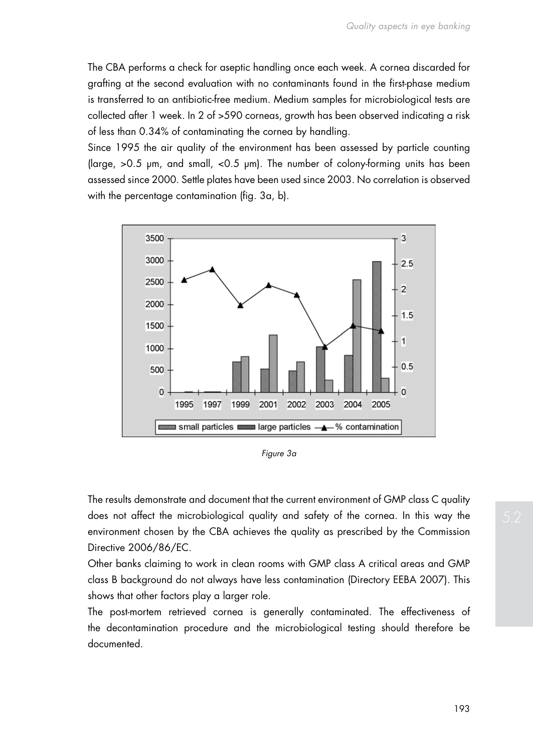The CBA performs a check for aseptic handling once each week. A cornea discarded for grafting at the second evaluation with no contaminants found in the first-phase medium is transferred to an antibiotic-free medium. Medium samples for microbiological tests are collected after 1 week. In 2 of >590 corneas, growth has been observed indicating a risk of less than 0.34% of contaminating the cornea by handling.

Since 1995 the air quality of the environment has been assessed by particle counting (large, >0.5 μm, and small, <0.5 μm). The number of colony-forming units has been assessed since 2000. Settle plates have been used since 2003. No correlation is observed with the percentage contamination (fig. 3a, b).



*Figure 3a*

The results demonstrate and document that the current environment of GMP class C quality does not affect the microbiological quality and safety of the cornea. In this way the environment chosen by the CBA achieves the quality as prescribed by the Commission Directive 2006/86/EC.

Other banks claiming to work in clean rooms with GMP class A critical areas and GMP class B background do not always have less contamination (Directory EEBA 2007). This shows that other factors play a larger role.

The post-mortem retrieved cornea is generally contaminated. The effectiveness of the decontamination procedure and the microbiological testing should therefore be documented.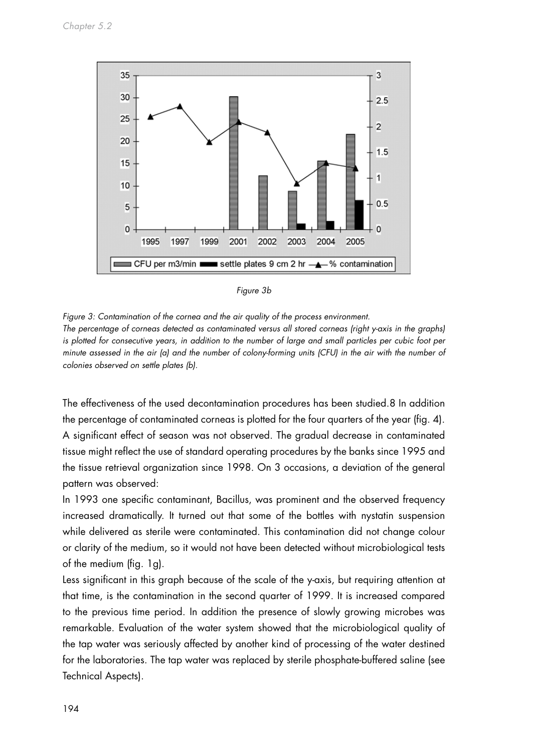

*Figure 3b*

*Figure 3: Contamination of the cornea and the air quality of the process environment. The percentage of corneas detected as contaminated versus all stored corneas (right y-axis in the graphs) is plotted for consecutive years, in addition to the number of large and small particles per cubic foot per minute assessed in the air (a) and the number of colony-forming units (CFU) in the air with the number of colonies observed on settle plates (b).*

The effectiveness of the used decontamination procedures has been studied.8 In addition the percentage of contaminated corneas is plotted for the four quarters of the year (fig. 4). A significant effect of season was not observed. The gradual decrease in contaminated tissue might reflect the use of standard operating procedures by the banks since 1995 and the tissue retrieval organization since 1998. On 3 occasions, a deviation of the general pattern was observed:

In 1993 one specific contaminant, Bacillus, was prominent and the observed frequency increased dramatically. It turned out that some of the bottles with nystatin suspension while delivered as sterile were contaminated. This contamination did not change colour or clarity of the medium, so it would not have been detected without microbiological tests of the medium (fig. 1g).

Less significant in this graph because of the scale of the y-axis, but requiring attention at that time, is the contamination in the second quarter of 1999. It is increased compared to the previous time period. In addition the presence of slowly growing microbes was remarkable. Evaluation of the water system showed that the microbiological quality of the tap water was seriously affected by another kind of processing of the water destined for the laboratories. The tap water was replaced by sterile phosphate-buffered saline (see Technical Aspects).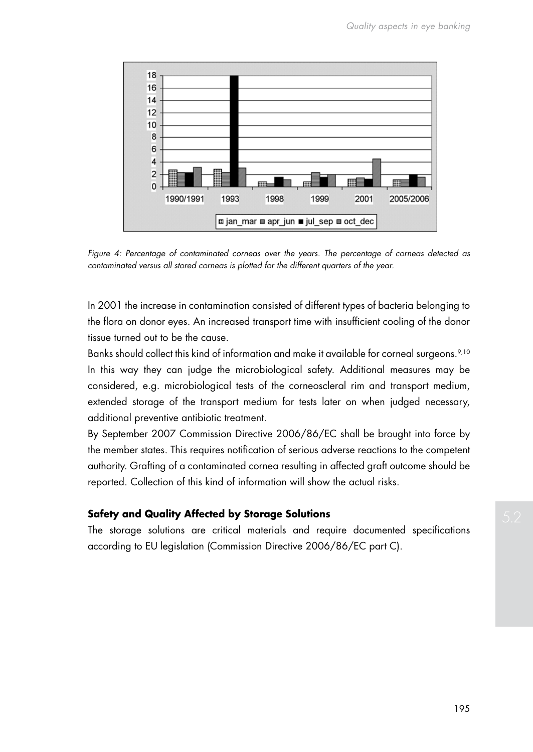

*Figure 4: Percentage of contaminated corneas over the years. The percentage of corneas detected as contaminated versus all stored corneas is plotted for the different quarters of the year.*

In 2001 the increase in contamination consisted of different types of bacteria belonging to the flora on donor eyes. An increased transport time with insufficient cooling of the donor tissue turned out to be the cause.

Banks should collect this kind of information and make it available for corneal surgeons.<sup>9,10</sup> In this way they can judge the microbiological safety. Additional measures may be considered, e.g. microbiological tests of the corneoscleral rim and transport medium, extended storage of the transport medium for tests later on when judged necessary, additional preventive antibiotic treatment.

By September 2007 Commission Directive 2006/86/EC shall be brought into force by the member states. This requires notification of serious adverse reactions to the competent authority. Grafting of a contaminated cornea resulting in affected graft outcome should be reported. Collection of this kind of information will show the actual risks.

### **Safety and Quality Affected by Storage Solutions**

The storage solutions are critical materials and require documented specifications according to EU legislation (Commission Directive 2006/86/EC part C).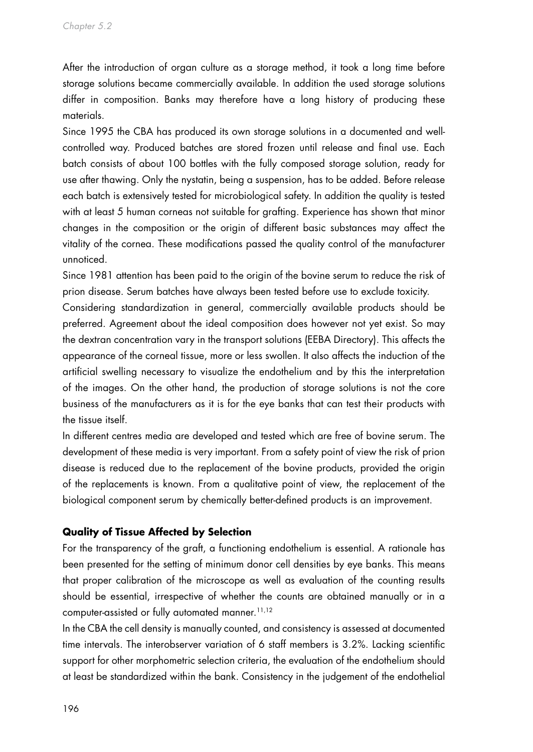After the introduction of organ culture as a storage method, it took a long time before storage solutions became commercially available. In addition the used storage solutions differ in composition. Banks may therefore have a long history of producing these materials.

Since 1995 the CBA has produced its own storage solutions in a documented and wellcontrolled way. Produced batches are stored frozen until release and final use. Each batch consists of about 100 bottles with the fully composed storage solution, ready for use after thawing. Only the nystatin, being a suspension, has to be added. Before release each batch is extensively tested for microbiological safety. In addition the quality is tested with at least 5 human corneas not suitable for grafting. Experience has shown that minor changes in the composition or the origin of different basic substances may affect the vitality of the cornea. These modifications passed the quality control of the manufacturer unnoticed.

Since 1981 attention has been paid to the origin of the bovine serum to reduce the risk of prion disease. Serum batches have always been tested before use to exclude toxicity.

Considering standardization in general, commercially available products should be preferred. Agreement about the ideal composition does however not yet exist. So may the dextran concentration vary in the transport solutions (EEBA Directory). This affects the appearance of the corneal tissue, more or less swollen. It also affects the induction of the artificial swelling necessary to visualize the endothelium and by this the interpretation of the images. On the other hand, the production of storage solutions is not the core business of the manufacturers as it is for the eye banks that can test their products with the tissue itself.

In different centres media are developed and tested which are free of bovine serum. The development of these media is very important. From a safety point of view the risk of prion disease is reduced due to the replacement of the bovine products, provided the origin of the replacements is known. From a qualitative point of view, the replacement of the biological component serum by chemically better-defined products is an improvement.

## **Quality of Tissue Affected by Selection**

For the transparency of the graft, a functioning endothelium is essential. A rationale has been presented for the setting of minimum donor cell densities by eye banks. This means that proper calibration of the microscope as well as evaluation of the counting results should be essential, irrespective of whether the counts are obtained manually or in a computer-assisted or fully automated manner.<sup>11,12</sup>

In the CBA the cell density is manually counted, and consistency is assessed at documented time intervals. The interobserver variation of 6 staff members is 3.2%. Lacking scientific support for other morphometric selection criteria, the evaluation of the endothelium should at least be standardized within the bank. Consistency in the judgement of the endothelial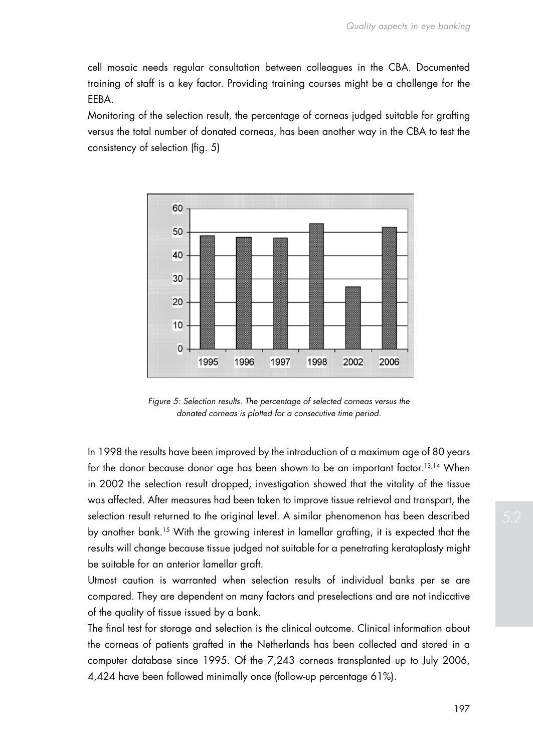cell mosaic needs regular consultation between colleagues in the CBA. Documented training of staff is a key factor. Providing training courses might be a challenge for the EEBA.

Monitoring of the selection result, the percentage of corneas judged suitable for grafting versus the total number of donated corneas, has been another way in the CBA to test the consistency of selection (fig. 5)



*Figure 5: Selection results. The percentage of selected corneas versus the donated corneas is plotted for a consecutive time period.*

In 1998 the results have been improved by the introduction of a maximum age of 80 years for the donor because donor age has been shown to be an important factor.<sup>13,14</sup> When in 2002 the selection result dropped, investigation showed that the vitality of the tissue was affected. After measures had been taken to improve tissue retrieval and transport, the selection result returned to the original level. A similar phenomenon has been described by another bank.15 With the growing interest in lamellar grafting, it is expected that the results will change because tissue judged not suitable for a penetrating keratoplasty might be suitable for an anterior lamellar graft.

Utmost caution is warranted when selection results of individual banks per se are compared. They are dependent on many factors and preselections and are not indicative of the quality of tissue issued by a bank.

The final test for storage and selection is the clinical outcome. Clinical information about the corneas of patients grafted in the Netherlands has been collected and stored in a computer database since 1995. Of the 7,243 corneas transplanted up to July 2006, 4,424 have been followed minimally once (follow-up percentage 61%).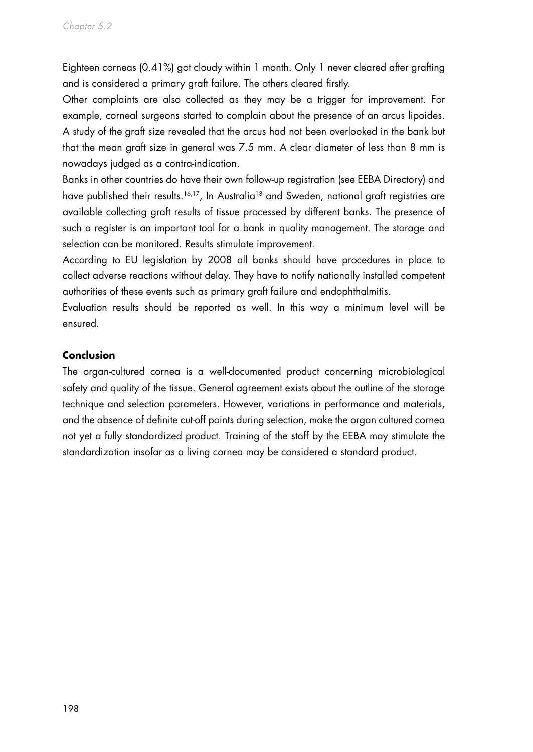Eighteen corneas (0.41%) got cloudy within 1 month. Only 1 never cleared after grafting and is considered a primary graft failure. The others cleared firstly.

Other complaints are also collected as they may be a trigger for improvement. For example, corneal surgeons started to complain about the presence of an arcus lipoides. A study of the graft size revealed that the arcus had not been overlooked in the bank but that the mean graft size in general was 7.5 mm. A clear diameter of less than 8 mm is nowadays judged as a contra-indication.

Banks in other countries do have their own follow-up registration (see EEBA Directory) and have published their results.<sup>16,17</sup>, In Australia<sup>18</sup> and Sweden, national graft registries are available collecting graft results of tissue processed by different banks. The presence of such a register is an important tool for a bank in quality management. The storage and selection can be monitored. Results stimulate improvement.

According to EU legislation by 2008 all banks should have procedures in place to collect adverse reactions without delay. They have to notify nationally installed competent authorities of these events such as primary graft failure and endophthalmitis.

Evaluation results should be reported as well. In this way a minimum level will be ensured.

# **Conclusion**

The organ-cultured cornea is a well-documented product concerning microbiological safety and quality of the tissue. General agreement exists about the outline of the storage technique and selection parameters. However, variations in performance and materials, and the absence of definite cut-off points during selection, make the organ cultured cornea not yet a fully standardized product. Training of the staff by the EEBA may stimulate the standardization insofar as a living cornea may be considered a standard product.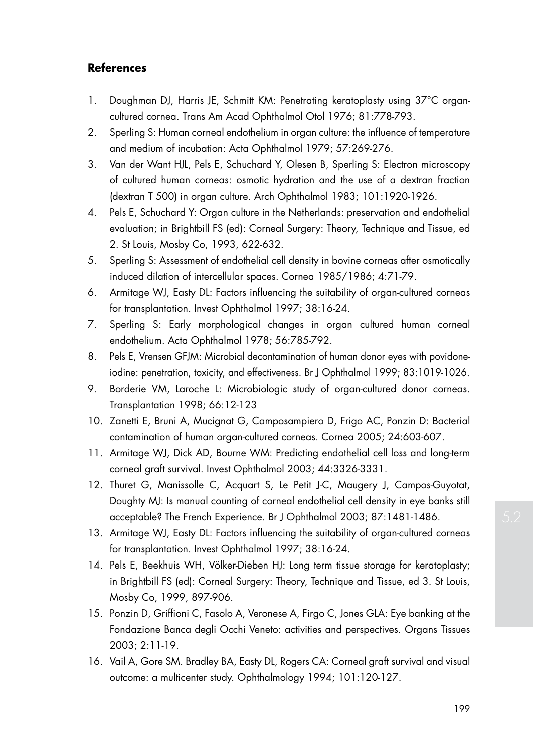# **References**

- 1. Doughman DJ, Harris JE, Schmitt KM: Penetrating keratoplasty using 37°C organcultured cornea. Trans Am Acad Ophthalmol Otol 1976; 81:778-793.
- 2. Sperling S: Human corneal endothelium in organ culture: the influence of temperature and medium of incubation: Acta Ophthalmol 1979; 57:269-276.
- 3. Van der Want HJL, Pels E, Schuchard Y, Olesen B, Sperling S: Electron microscopy of cultured human corneas: osmotic hydration and the use of a dextran fraction (dextran T 500) in organ culture. Arch Ophthalmol 1983; 101:1920-1926.
- 4. Pels E, Schuchard Y: Organ culture in the Netherlands: preservation and endothelial evaluation; in Brightbill FS (ed): Corneal Surgery: Theory, Technique and Tissue, ed 2. St Louis, Mosby Co, 1993, 622-632.
- 5. Sperling S: Assessment of endothelial cell density in bovine corneas after osmotically induced dilation of intercellular spaces. Cornea 1985/1986; 4:71-79.
- 6. Armitage WJ, Easty DL: Factors influencing the suitability of organ-cultured corneas for transplantation. Invest Ophthalmol 1997; 38:16-24.
- 7. Sperling S: Early morphological changes in organ cultured human corneal endothelium. Acta Ophthalmol 1978; 56:785-792.
- 8. Pels E, Vrensen GFJM: Microbial decontamination of human donor eyes with povidoneiodine: penetration, toxicity, and effectiveness. Br J Ophthalmol 1999; 83:1019-1026.
- 9. Borderie VM, Laroche L: Microbiologic study of organ-cultured donor corneas. Transplantation 1998; 66:12-123
- 10. Zanetti E, Bruni A, Mucignat G, Camposampiero D, Frigo AC, Ponzin D: Bacterial contamination of human organ-cultured corneas. Cornea 2005; 24:603-607.
- 11. Armitage WJ, Dick AD, Bourne WM: Predicting endothelial cell loss and long-term corneal graft survival. Invest Ophthalmol 2003; 44:3326-3331.
- 12. Thuret G, Manissolle C, Acquart S, Le Petit J-C, Maugery J, Campos-Guyotat, Doughty MJ: Is manual counting of corneal endothelial cell density in eye banks still acceptable? The French Experience. Br J Ophthalmol 2003; 87:1481-1486.
- 13. Armitage WJ, Easty DL: Factors influencing the suitability of organ-cultured corneas for transplantation. Invest Ophthalmol 1997; 38:16-24.
- 14. Pels E, Beekhuis WH, Völker-Dieben HJ: Long term tissue storage for keratoplasty; in Brightbill FS (ed): Corneal Surgery: Theory, Technique and Tissue, ed 3. St Louis, Mosby Co, 1999, 897-906.
- 15. Ponzin D, Griffioni C, Fasolo A, Veronese A, Firgo C, Jones GLA: Eye banking at the Fondazione Banca degli Occhi Veneto: activities and perspectives. Organs Tissues 2003; 2:11-19.
- 16. Vail A, Gore SM. Bradley BA, Easty DL, Rogers CA: Corneal graft survival and visual outcome: a multicenter study. Ophthalmology 1994; 101:120-127.